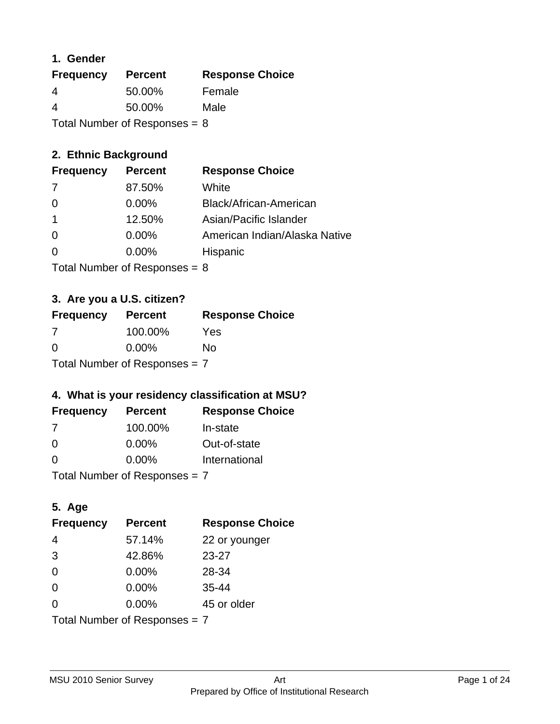### **1. Gender**

| <b>Frequency</b>                | <b>Percent</b> | <b>Response Choice</b> |
|---------------------------------|----------------|------------------------|
| 4                               | 50.00%         | Female                 |
| 4                               | 50.00%         | Male                   |
| Total Number of Responses = $8$ |                |                        |

### **2. Ethnic Background**

| <b>Frequency</b> | <b>Percent</b> | <b>Response Choice</b>        |
|------------------|----------------|-------------------------------|
| -7               | 87.50%         | White                         |
| $\Omega$         | $0.00\%$       | Black/African-American        |
|                  | 12.50%         | Asian/Pacific Islander        |
| 0                | $0.00\%$       | American Indian/Alaska Native |
|                  | 0.00%          | Hispanic                      |
|                  |                |                               |

Total Number of Responses = 8

### **3. Are you a U.S. citizen?**

| <b>Frequency</b>                | <b>Percent</b> | <b>Response Choice</b> |
|---------------------------------|----------------|------------------------|
| -7                              | 100.00%        | Yes                    |
| $\Omega$                        | $0.00\%$       | Nο                     |
| Total Number of Responses $= 7$ |                |                        |

### **4. What is your residency classification at MSU?**

| <b>Frequency</b> | <b>Percent</b> | <b>Response Choice</b> |
|------------------|----------------|------------------------|
| 7                | 100.00%        | In-state               |
| $\Omega$         | $0.00\%$       | Out-of-state           |
| $\Omega$         | $0.00\%$       | International          |
|                  |                |                        |

Total Number of Responses = 7

# **5. Age**

| <b>Frequency</b>                | <b>Percent</b> | <b>Response Choice</b> |
|---------------------------------|----------------|------------------------|
| 4                               | 57.14%         | 22 or younger          |
| 3                               | 42.86%         | $23 - 27$              |
| $\overline{0}$                  | 0.00%          | 28-34                  |
| $\Omega$                        | 0.00%          | $35 - 44$              |
| 0                               | $0.00\%$       | 45 or older            |
| Total Number of Responses = $7$ |                |                        |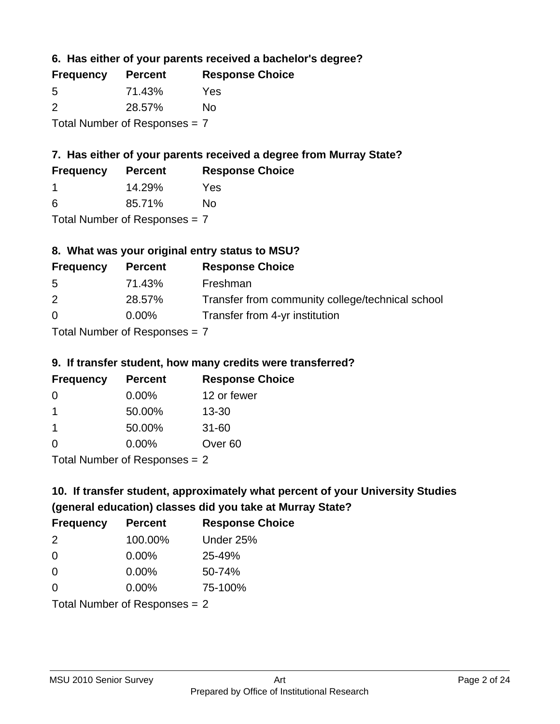**6. Has either of your parents received a bachelor's degree?**

| <b>Frequency</b>                | <b>Percent</b> | <b>Response Choice</b> |
|---------------------------------|----------------|------------------------|
| 5                               | 71.43%         | Yes                    |
| $\mathcal{P}$                   | 28.57%         | Nο                     |
| Total Number of Responses $= 7$ |                |                        |

# **7. Has either of your parents received a degree from Murray State?**

| <b>Frequency</b> | <b>Percent</b> | <b>Response Choice</b> |  |
|------------------|----------------|------------------------|--|
|                  | 14.29%         | Yes                    |  |
| -6               | 85.71%         | No                     |  |

Total Number of Responses = 7

### **8. What was your original entry status to MSU?**

| <b>Frequency</b> | <b>Percent</b>            | <b>Response Choice</b>                           |
|------------------|---------------------------|--------------------------------------------------|
| 5                | 71.43%                    | Freshman                                         |
| 2                | 28.57%                    | Transfer from community college/technical school |
| $\Omega$         | $0.00\%$                  | Transfer from 4-yr institution                   |
|                  | Total Number of Despenses |                                                  |

Total Number of Responses = 7

#### **9. If transfer student, how many credits were transferred?**

| <b>Frequency</b>               | <b>Percent</b> | <b>Response Choice</b> |
|--------------------------------|----------------|------------------------|
| -0                             | $0.00\%$       | 12 or fewer            |
| 1                              | 50.00%         | $13 - 30$              |
| -1                             | 50.00%         | $31 - 60$              |
| $\Omega$                       | 0.00%          | Over <sub>60</sub>     |
| Total Number of Poenances $-2$ |                |                        |

I otal Number of Responses = 2

# **10. If transfer student, approximately what percent of your University Studies (general education) classes did you take at Murray State?**

| <b>Frequency</b>                | <b>Percent</b> | <b>Response Choice</b> |
|---------------------------------|----------------|------------------------|
| $\mathcal{P}$                   | 100.00%        | Under 25%              |
| -0                              | $0.00\%$       | 25-49%                 |
| 0                               | $0.00\%$       | 50-74%                 |
| $\Omega$                        | 0.00%          | 75-100%                |
| Total Number of Responses $= 2$ |                |                        |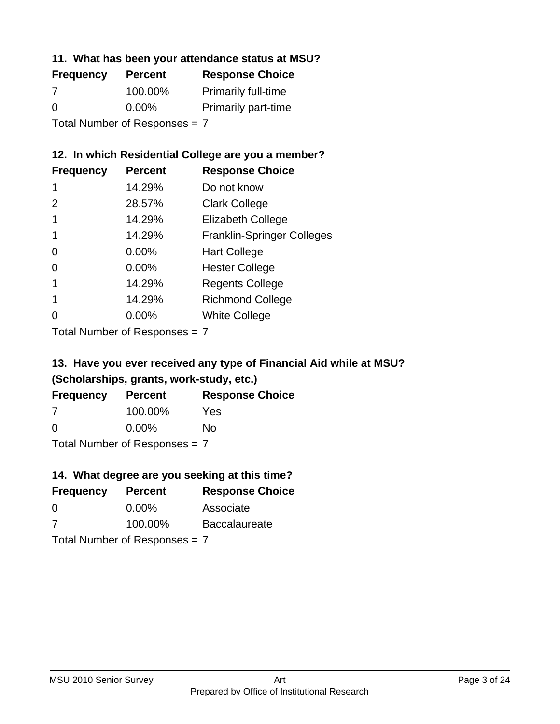### **11. What has been your attendance status at MSU?**

| <b>Frequency</b>              | <b>Percent</b> | <b>Response Choice</b>     |
|-------------------------------|----------------|----------------------------|
| 7                             | 100.00%        | <b>Primarily full-time</b> |
| $\Omega$                      | $0.00\%$       | <b>Primarily part-time</b> |
| Total Number of Responses = 7 |                |                            |

#### **12. In which Residential College are you a member?**

| <b>Frequency</b> | <b>Percent</b> | <b>Response Choice</b>            |
|------------------|----------------|-----------------------------------|
| 1                | 14.29%         | Do not know                       |
| 2                | 28.57%         | <b>Clark College</b>              |
|                  | 14.29%         | <b>Elizabeth College</b>          |
|                  | 14.29%         | <b>Franklin-Springer Colleges</b> |
| 0                | 0.00%          | <b>Hart College</b>               |
| 0                | 0.00%          | <b>Hester College</b>             |
|                  | 14.29%         | <b>Regents College</b>            |
|                  | 14.29%         | <b>Richmond College</b>           |
| ∩                | 0.00%          | <b>White College</b>              |
|                  |                |                                   |

Total Number of Responses = 7

### **13. Have you ever received any type of Financial Aid while at MSU? (Scholarships, grants, work-study, etc.)**

| <b>Frequency</b>                | <b>Percent</b> | <b>Response Choice</b> |
|---------------------------------|----------------|------------------------|
| 7                               | 100.00%        | Yes                    |
| 0                               | $0.00\%$       | Nο                     |
| Total Number of Responses = $7$ |                |                        |

#### **14. What degree are you seeking at this time?**

| <b>Frequency</b> | <b>Percent</b>                  | <b>Response Choice</b> |
|------------------|---------------------------------|------------------------|
| $\overline{0}$   | $0.00\%$                        | Associate              |
| 7                | 100.00%                         | <b>Baccalaureate</b>   |
|                  | Total Number of Responses = $7$ |                        |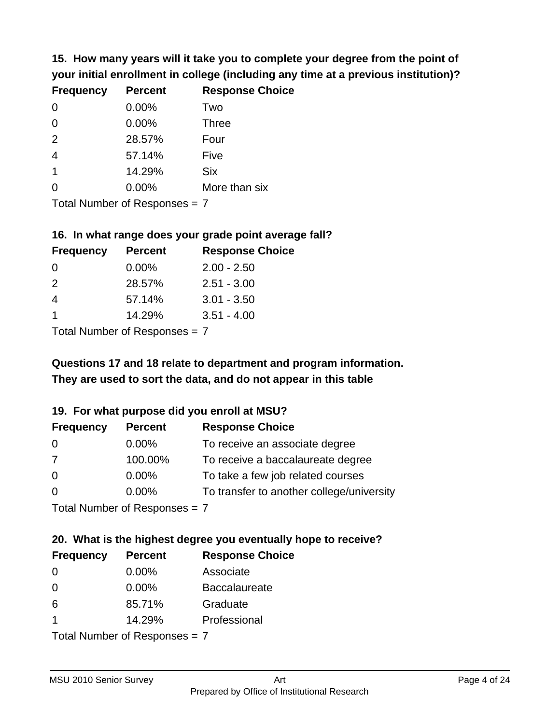**15. How many years will it take you to complete your degree from the point of your initial enrollment in college (including any time at a previous institution)?**

| <b>Frequency</b> | <b>Percent</b> | <b>Response Choice</b> |
|------------------|----------------|------------------------|
| $\overline{0}$   | 0.00%          | Two                    |
| $\overline{0}$   | 0.00%          | <b>Three</b>           |
| 2                | 28.57%         | Four                   |
| $\overline{4}$   | 57.14%         | Five                   |
| $\overline{1}$   | 14.29%         | <b>Six</b>             |
| $\overline{0}$   | 0.00%          | More than six          |
|                  |                |                        |

Total Number of Responses = 7

### **16. In what range does your grade point average fall?**

| <b>Frequency</b> | <b>Percent</b> | <b>Response Choice</b> |
|------------------|----------------|------------------------|
| 0                | $0.00\%$       | $2.00 - 2.50$          |
| $\mathcal{P}$    | 28.57%         | $2.51 - 3.00$          |
| 4                | 57.14%         | $3.01 - 3.50$          |
|                  | 14.29%         | $3.51 - 4.00$          |
|                  |                |                        |

Total Number of Responses = 7

# **They are used to sort the data, and do not appear in this table Questions 17 and 18 relate to department and program information.**

### **19. For what purpose did you enroll at MSU?**

| <b>Frequency</b>            | <b>Percent</b> | <b>Response Choice</b>                    |
|-----------------------------|----------------|-------------------------------------------|
| 0                           | $0.00\%$       | To receive an associate degree            |
| 7                           | 100.00%        | To receive a baccalaureate degree         |
| $\overline{0}$              | $0.00\%$       | To take a few job related courses         |
| $\Omega$                    | $0.00\%$       | To transfer to another college/university |
| Total Number of Despesses 7 |                |                                           |

Total Number of Responses = 7

# **20. What is the highest degree you eventually hope to receive?**

| <b>Frequency</b> | <b>Percent</b>                  | <b>Response Choice</b> |
|------------------|---------------------------------|------------------------|
| 0                | $0.00\%$                        | Associate              |
| $\overline{0}$   | $0.00\%$                        | <b>Baccalaureate</b>   |
| 6                | 85.71%                          | Graduate               |
| $\mathbf 1$      | 14.29%                          | Professional           |
|                  | Total Number of Responses = $7$ |                        |

MSU 2010 Senior Survey **Art**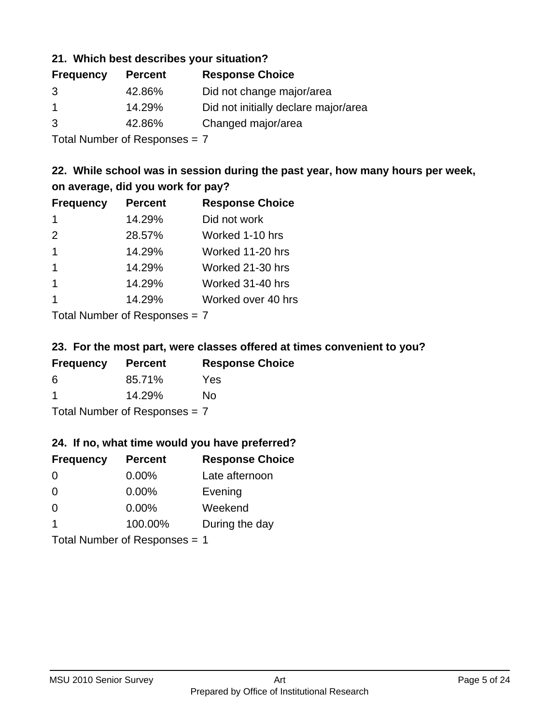#### **21. Which best describes your situation?**

| <b>Frequency</b> | <b>Percent</b> | <b>Response Choice</b>               |
|------------------|----------------|--------------------------------------|
| 3                | 42.86%         | Did not change major/area            |
|                  | 14.29%         | Did not initially declare major/area |
| 3                | 42.86%         | Changed major/area                   |

Total Number of Responses = 7

### **22. While school was in session during the past year, how many hours per week, on average, did you work for pay?**

| <b>Frequency</b> | <b>Percent</b> | <b>Response Choice</b> |
|------------------|----------------|------------------------|
| -1               | 14.29%         | Did not work           |
| 2                | 28.57%         | Worked 1-10 hrs        |
| $\mathbf 1$      | 14.29%         | Worked 11-20 hrs       |
| $\mathbf 1$      | 14.29%         | Worked 21-30 hrs       |
| $\mathbf 1$      | 14.29%         | Worked 31-40 hrs       |
|                  | 14.29%         | Worked over 40 hrs     |
|                  |                |                        |

Total Number of Responses = 7

#### **23. For the most part, were classes offered at times convenient to you?**

| <b>Frequency</b>                | <b>Percent</b> | <b>Response Choice</b> |
|---------------------------------|----------------|------------------------|
| 6                               | 85.71%         | Yes                    |
| -1                              | 14.29%         | Nο                     |
| Total Number of Responses = $7$ |                |                        |

#### **24. If no, what time would you have preferred?**

| <b>Frequency</b>        | <b>Percent</b>                | <b>Response Choice</b> |
|-------------------------|-------------------------------|------------------------|
| $\Omega$                | 0.00%                         | Late afternoon         |
| $\Omega$                | 0.00%                         | Evening                |
| $\Omega$                | $0.00\%$                      | Weekend                |
| $\overline{\mathbf{1}}$ | 100.00%                       | During the day         |
|                         | Total Number of Responses = 1 |                        |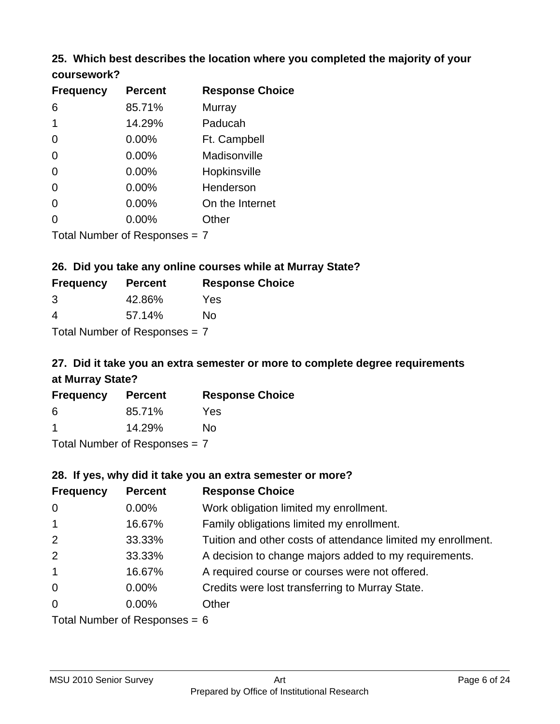### **25. Which best describes the location where you completed the majority of your coursework?**

| <b>Frequency</b> | <b>Percent</b>                  | <b>Response Choice</b> |
|------------------|---------------------------------|------------------------|
| 6                | 85.71%                          | Murray                 |
| 1                | 14.29%                          | Paducah                |
| 0                | 0.00%                           | Ft. Campbell           |
| 0                | 0.00%                           | Madisonville           |
| 0                | 0.00%                           | Hopkinsville           |
| 0                | 0.00%                           | Henderson              |
| 0                | 0.00%                           | On the Internet        |
| 0                | 0.00%                           | Other                  |
|                  | Total Number of Responses $= 7$ |                        |

**26. Did you take any online courses while at Murray State?**

| <b>Frequency</b> | <b>Percent</b>                  | <b>Response Choice</b> |
|------------------|---------------------------------|------------------------|
| 3                | 42.86%                          | Yes                    |
| 4                | 57.14%                          | Nο                     |
|                  | Total Number of Responses $= 7$ |                        |

# **27. Did it take you an extra semester or more to complete degree requirements at Murray State?**

| <b>Frequency</b> | <b>Percent</b>                          | <b>Response Choice</b> |
|------------------|-----------------------------------------|------------------------|
| 6                | 85.71%                                  | Yes                    |
|                  | 14.29%                                  | No                     |
|                  | $T$ at all Message and $D$ are a second |                        |

Total Number of Responses = 7

#### **28. If yes, why did it take you an extra semester or more?**

| <b>Frequency</b> | <b>Percent</b>                  | <b>Response Choice</b>                                       |
|------------------|---------------------------------|--------------------------------------------------------------|
| $\overline{0}$   | 0.00%                           | Work obligation limited my enrollment.                       |
| $\mathbf{1}$     | 16.67%                          | Family obligations limited my enrollment.                    |
| 2                | 33.33%                          | Tuition and other costs of attendance limited my enrollment. |
| 2                | 33.33%                          | A decision to change majors added to my requirements.        |
| $\overline{1}$   | 16.67%                          | A required course or courses were not offered.               |
| $\mathbf 0$      | $0.00\%$                        | Credits were lost transferring to Murray State.              |
| $\overline{0}$   | $0.00\%$                        | Other                                                        |
|                  | Total Number of Reconnege $-$ 6 |                                                              |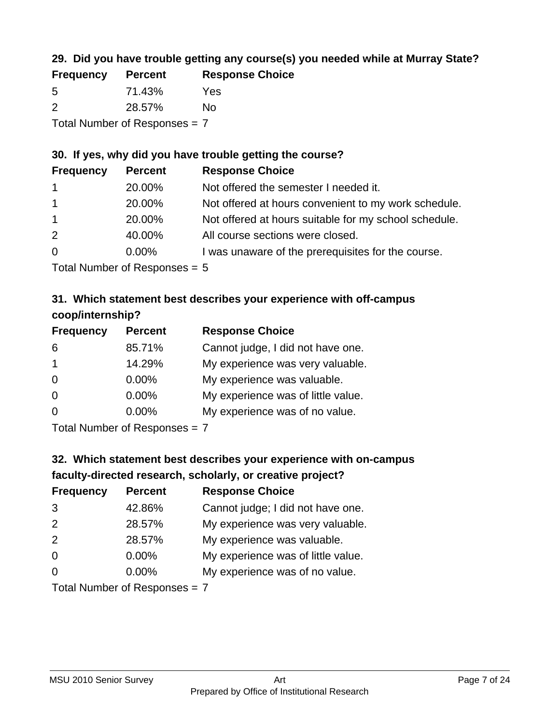### **29. Did you have trouble getting any course(s) you needed while at Murray State?**

| <b>Frequency</b>                | <b>Percent</b> | <b>Response Choice</b> |  |
|---------------------------------|----------------|------------------------|--|
| -5                              | 71.43%         | Yes                    |  |
| $\mathcal{P}$                   | 28.57%         | No.                    |  |
| Total Number of Responses = $7$ |                |                        |  |

### **30. If yes, why did you have trouble getting the course?**

| <b>Frequency</b> | <b>Percent</b> | <b>Response Choice</b>                                |
|------------------|----------------|-------------------------------------------------------|
| $\mathbf{1}$     | 20.00%         | Not offered the semester I needed it.                 |
| $\mathbf{1}$     | 20.00%         | Not offered at hours convenient to my work schedule.  |
| $\mathbf{1}$     | 20.00%         | Not offered at hours suitable for my school schedule. |
| 2                | 40.00%         | All course sections were closed.                      |
| $\overline{0}$   | $0.00\%$       | I was unaware of the prerequisites for the course.    |
|                  |                |                                                       |

Total Number of Responses = 5

### **31. Which statement best describes your experience with off-campus coop/internship?**

| <b>Frequency</b> | <b>Percent</b> | <b>Response Choice</b>             |
|------------------|----------------|------------------------------------|
| 6                | 85.71%         | Cannot judge, I did not have one.  |
| $\overline{1}$   | 14.29%         | My experience was very valuable.   |
| $\Omega$         | $0.00\%$       | My experience was valuable.        |
| $\Omega$         | 0.00%          | My experience was of little value. |
| $\Omega$         | 0.00%          | My experience was of no value.     |
|                  |                |                                    |

Total Number of Responses = 7

# **32. Which statement best describes your experience with on-campus faculty-directed research, scholarly, or creative project?**

| <b>Frequency</b> | <b>Percent</b>            | <b>Response Choice</b>             |
|------------------|---------------------------|------------------------------------|
| 3                | 42.86%                    | Cannot judge; I did not have one.  |
| 2                | 28.57%                    | My experience was very valuable.   |
| 2                | 28.57%                    | My experience was valuable.        |
| $\Omega$         | $0.00\%$                  | My experience was of little value. |
| $\Omega$         | 0.00%                     | My experience was of no value.     |
|                  | Total Number of Deepersee |                                    |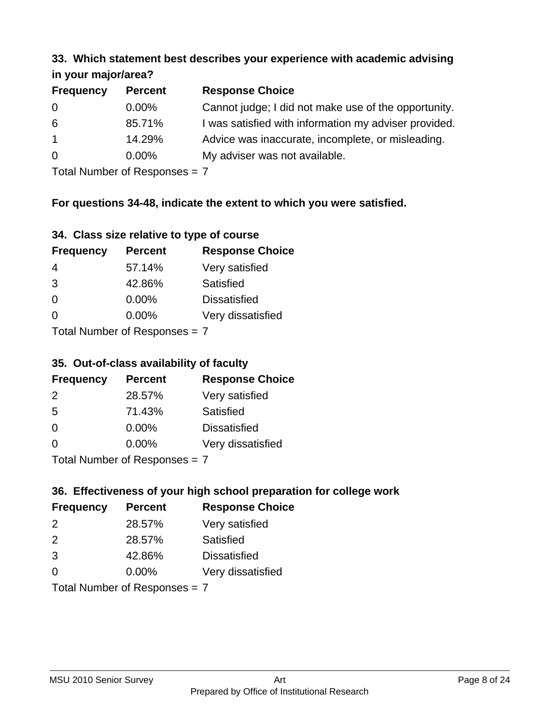#### **33. Which statement best describes your experience with academic advising in your major/area?**

| $\mathbf{u}$ yvu $\mathbf{u}$ yvu $\mathbf{v}$ |                |                                                       |
|------------------------------------------------|----------------|-------------------------------------------------------|
| <b>Frequency</b>                               | <b>Percent</b> | <b>Response Choice</b>                                |
| 0                                              | $0.00\%$       | Cannot judge; I did not make use of the opportunity.  |
| 6                                              | 85.71%         | I was satisfied with information my adviser provided. |
| $\mathbf{1}$                                   | 14.29%         | Advice was inaccurate, incomplete, or misleading.     |
| $\overline{0}$                                 | $0.00\%$       | My adviser was not available.                         |
|                                                |                |                                                       |

Total Number of Responses = 7

### **For questions 34-48, indicate the extent to which you were satisfied.**

| 34. Class size relative to type of course |  |  |  |  |  |  |  |  |
|-------------------------------------------|--|--|--|--|--|--|--|--|
|-------------------------------------------|--|--|--|--|--|--|--|--|

| <b>Frequency</b>              | <b>Percent</b> | <b>Response Choice</b> |  |
|-------------------------------|----------------|------------------------|--|
| -4                            | 57.14%         | Very satisfied         |  |
| 3                             | 42.86%         | Satisfied              |  |
| $\Omega$                      | 0.00%          | <b>Dissatisfied</b>    |  |
| $\Omega$                      | 0.00%          | Very dissatisfied      |  |
| Total Number of Reconnege — 7 |                |                        |  |

I otal Number of Responses =  $7$ 

#### **35. Out-of-class availability of faculty**

| <b>Frequency</b>            | <b>Percent</b> | <b>Response Choice</b> |  |
|-----------------------------|----------------|------------------------|--|
| 2                           | 28.57%         | Very satisfied         |  |
| 5                           | 71.43%         | Satisfied              |  |
| $\Omega$                    | $0.00\%$       | <b>Dissatisfied</b>    |  |
| $\Omega$                    | 0.00%          | Very dissatisfied      |  |
| Total Number of Despesses 7 |                |                        |  |

Total Number of Responses = 7

### **36. Effectiveness of your high school preparation for college work**

| <b>Frequency</b>               | <b>Percent</b> | <b>Response Choice</b> |  |
|--------------------------------|----------------|------------------------|--|
| $\mathcal{P}$                  | 28.57%         | Very satisfied         |  |
| $\mathcal{P}$                  | 28.57%         | Satisfied              |  |
| 3                              | 42.86%         | <b>Dissatisfied</b>    |  |
| $\Omega$                       | 0.00%          | Very dissatisfied      |  |
| Total Number of Responses $-7$ |                |                        |  |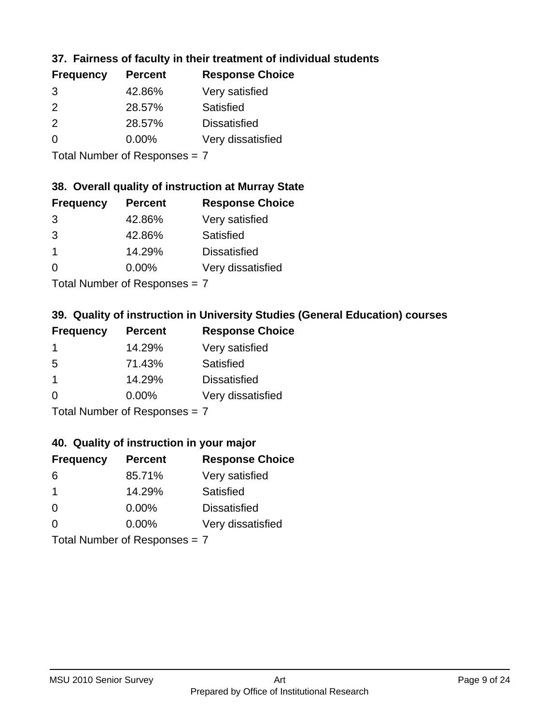### **37. Fairness of faculty in their treatment of individual students**

| <b>Percent</b> | <b>Response Choice</b> |
|----------------|------------------------|
| 42.86%         | Very satisfied         |
| 28.57%         | Satisfied              |
| 28.57%         | <b>Dissatisfied</b>    |
| $0.00\%$       | Very dissatisfied      |
|                |                        |

Total Number of Responses = 7

### **38. Overall quality of instruction at Murray State**

| <b>Frequency</b> | <b>Percent</b> | <b>Response Choice</b> |
|------------------|----------------|------------------------|
| 3                | 42.86%         | Very satisfied         |
| 3                | 42.86%         | Satisfied              |
|                  | 14.29%         | <b>Dissatisfied</b>    |
| $\Omega$         | 0.00%          | Very dissatisfied      |
|                  |                |                        |

Total Number of Responses = 7

### **39. Quality of instruction in University Studies (General Education) courses**

| <b>Frequency</b>     | <b>Percent</b> | <b>Response Choice</b> |
|----------------------|----------------|------------------------|
|                      | 14.29%         | Very satisfied         |
| 5                    | 71.43%         | Satisfied              |
| $\blacktriangleleft$ | 14.29%         | <b>Dissatisfied</b>    |
| $\Omega$             | 0.00%          | Very dissatisfied      |
|                      |                |                        |

Total Number of Responses = 7

#### **40. Quality of instruction in your major**

| <b>Frequency</b> | <b>Percent</b>            | <b>Response Choice</b> |
|------------------|---------------------------|------------------------|
| 6                | 85.71%                    | Very satisfied         |
| -1               | 14.29%                    | Satisfied              |
| $\Omega$         | 0.00%                     | <b>Dissatisfied</b>    |
| $\Omega$         | 0.00%                     | Very dissatisfied      |
|                  | Total Number of Deepensee |                        |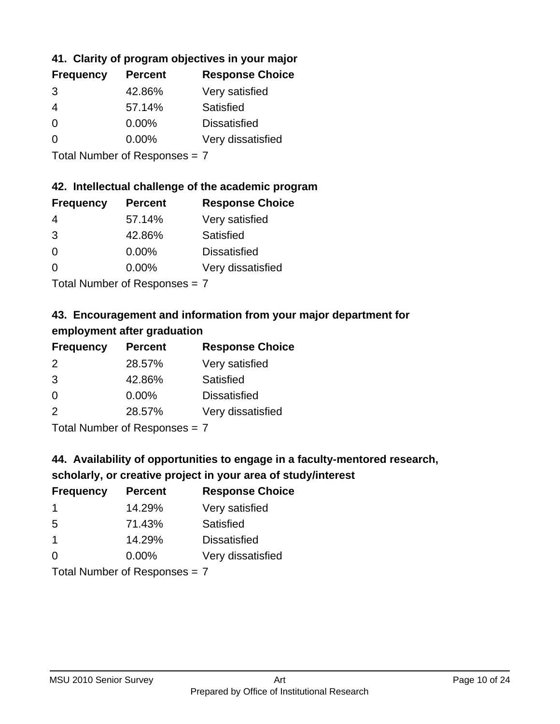### **41. Clarity of program objectives in your major**

| <b>Frequency</b> | <b>Percent</b> | <b>Response Choice</b> |
|------------------|----------------|------------------------|
| 3                | 42.86%         | Very satisfied         |
| 4                | 57.14%         | Satisfied              |
| $\Omega$         | $0.00\%$       | <b>Dissatisfied</b>    |
| ∩                | $0.00\%$       | Very dissatisfied      |
|                  |                |                        |

Total Number of Responses = 7

### **42. Intellectual challenge of the academic program**

| <b>Frequency</b> | <b>Percent</b> | <b>Response Choice</b> |
|------------------|----------------|------------------------|
| 4                | 57.14%         | Very satisfied         |
| 3                | 42.86%         | Satisfied              |
| $\Omega$         | $0.00\%$       | <b>Dissatisfied</b>    |
| ∩                | $0.00\%$       | Very dissatisfied      |
|                  |                |                        |

Total Number of Responses = 7

### **43. Encouragement and information from your major department for employment after graduation**

| <b>Frequency</b> | <b>Percent</b> | <b>Response Choice</b> |
|------------------|----------------|------------------------|
| 2                | 28.57%         | Very satisfied         |
| 3                | 42.86%         | Satisfied              |
| 0                | $0.00\%$       | <b>Dissatisfied</b>    |
| 2                | 28.57%         | Very dissatisfied      |
|                  |                |                        |

Total Number of Responses = 7

# **44. Availability of opportunities to engage in a faculty-mentored research,**

### **scholarly, or creative project in your area of study/interest**

| <b>Frequency</b> | <b>Percent</b> | <b>Response Choice</b> |
|------------------|----------------|------------------------|
|                  | 14.29%         | Very satisfied         |
| 5                | 71.43%         | Satisfied              |
| $\mathbf 1$      | 14.29%         | <b>Dissatisfied</b>    |
| $\Omega$         | 0.00%          | Very dissatisfied      |
|                  |                |                        |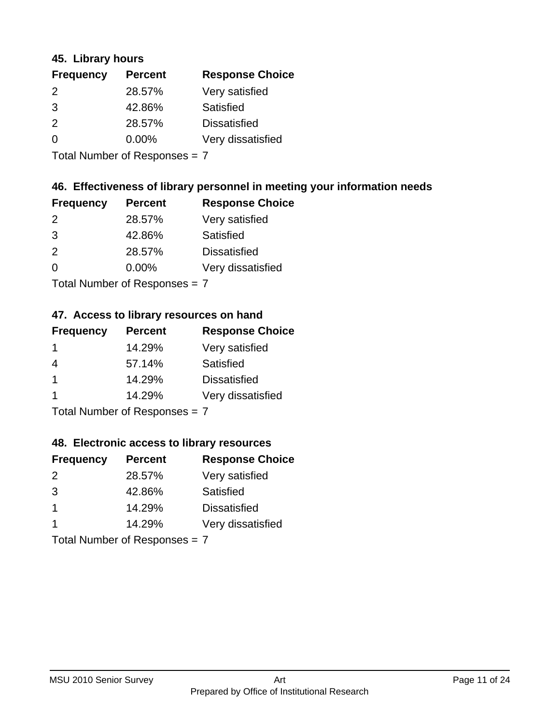#### **45. Library hours**

| <b>Frequency</b> | <b>Percent</b> | <b>Response Choice</b> |
|------------------|----------------|------------------------|
| 2                | 28.57%         | Very satisfied         |
| 3                | 42.86%         | Satisfied              |
| $\mathcal{P}$    | 28.57%         | <b>Dissatisfied</b>    |
| $\Omega$         | $0.00\%$       | Very dissatisfied      |
|                  |                |                        |

Total Number of Responses = 7

### **46. Effectiveness of library personnel in meeting your information needs**

| <b>Frequency</b> | <b>Percent</b> | <b>Response Choice</b> |
|------------------|----------------|------------------------|
| $\mathcal{P}$    | 28.57%         | Very satisfied         |
| 3                | 42.86%         | Satisfied              |
| $\mathcal{P}$    | 28.57%         | <b>Dissatisfied</b>    |
| $\Omega$         | 0.00%          | Very dissatisfied      |
|                  |                |                        |

Total Number of Responses = 7

### **47. Access to library resources on hand**

| <b>Frequency</b> | <b>Percent</b> | <b>Response Choice</b> |
|------------------|----------------|------------------------|
| -1               | 14.29%         | Very satisfied         |
| 4                | 57.14%         | Satisfied              |
| $\mathbf 1$      | 14.29%         | <b>Dissatisfied</b>    |
|                  | 14.29%         | Very dissatisfied      |
|                  |                |                        |

Total Number of Responses = 7

#### **48. Electronic access to library resources**

| <b>Frequency</b> | <b>Percent</b>                | <b>Response Choice</b> |
|------------------|-------------------------------|------------------------|
| 2                | 28.57%                        | Very satisfied         |
| 3                | 42.86%                        | Satisfied              |
| $\overline{1}$   | 14.29%                        | <b>Dissatisfied</b>    |
|                  | 14.29%                        | Very dissatisfied      |
|                  | Total Number of Responses = 7 |                        |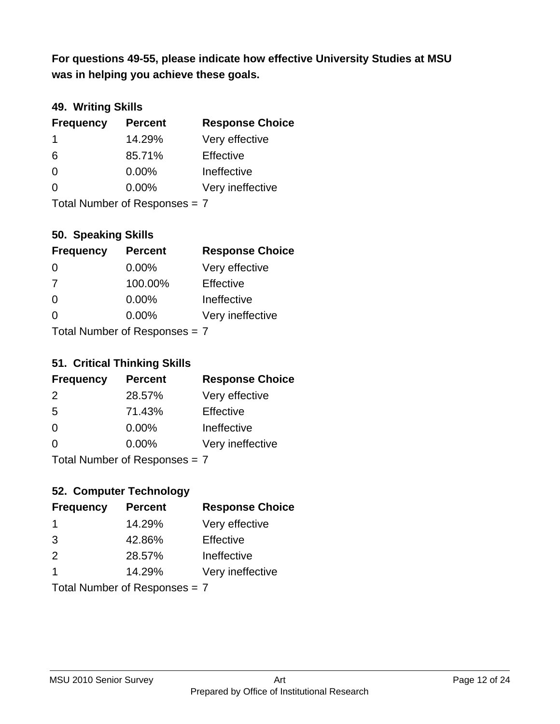**was in helping you achieve these goals. For questions 49-55, please indicate how effective University Studies at MSU** 

### **49. Writing Skills**

| <b>Frequency</b>              | <b>Percent</b> | <b>Response Choice</b> |
|-------------------------------|----------------|------------------------|
| $\mathbf 1$                   | 14.29%         | Very effective         |
| 6                             | 85.71%         | Effective              |
| $\Omega$                      | $0.00\%$       | Ineffective            |
| $\Omega$                      | $0.00\%$       | Very ineffective       |
| Total Number of Responses = 7 |                |                        |

### **50. Speaking Skills**

| <b>Frequency</b>              | <b>Percent</b> | <b>Response Choice</b> |
|-------------------------------|----------------|------------------------|
| $\Omega$                      | $0.00\%$       | Very effective         |
| 7                             | 100.00%        | Effective              |
| $\Omega$                      | 0.00%          | Ineffective            |
| $\Omega$                      | 0.00%          | Very ineffective       |
| Total Number of Poenonces - 7 |                |                        |

Total Number of Responses  $=$   $\prime$ 

#### **51. Critical Thinking Skills**

| <b>Frequency</b>            | <b>Percent</b> | <b>Response Choice</b> |
|-----------------------------|----------------|------------------------|
| 2                           | 28.57%         | Very effective         |
| 5                           | 71.43%         | Effective              |
| $\Omega$                    | 0.00%          | Ineffective            |
| $\Omega$                    | 0.00%          | Very ineffective       |
| Total Number of Despesses 7 |                |                        |

Total Number of Responses = 7

### **52. Computer Technology**

| <b>Frequency</b>        | <b>Percent</b>                | <b>Response Choice</b> |
|-------------------------|-------------------------------|------------------------|
| -1                      | 14.29%                        | Very effective         |
| 3                       | 42.86%                        | Effective              |
| 2                       | 28.57%                        | Ineffective            |
| $\overline{\mathbf{1}}$ | 14.29%                        | Very ineffective       |
|                         | Total Number of Responses = 7 |                        |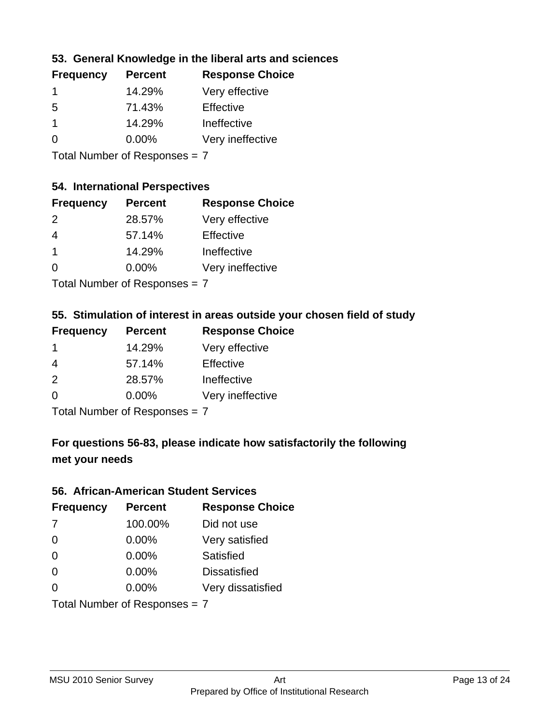### **53. General Knowledge in the liberal arts and sciences**

| <b>Frequency</b> | <b>Percent</b> | <b>Response Choice</b> |
|------------------|----------------|------------------------|
|                  | 14.29%         | Very effective         |
| .5               | 71.43%         | Effective              |
|                  | 14.29%         | Ineffective            |
| ∩                | $0.00\%$       | Very ineffective       |
|                  |                |                        |

Total Number of Responses = 7

### **54. International Perspectives**

| <b>Frequency</b> | <b>Percent</b> | <b>Response Choice</b> |
|------------------|----------------|------------------------|
| $\mathcal{P}$    | 28.57%         | Very effective         |
| 4                | 57.14%         | Effective              |
| 1                | 14.29%         | Ineffective            |
| $\Omega$         | 0.00%          | Very ineffective       |
|                  |                |                        |

Total Number of Responses = 7

### **55. Stimulation of interest in areas outside your chosen field of study**

| <b>Frequency</b> | <b>Percent</b>              | <b>Response Choice</b> |
|------------------|-----------------------------|------------------------|
|                  | 14.29%                      | Very effective         |
| 4                | 57.14%                      | Effective              |
| 2                | 28.57%                      | Ineffective            |
| $\Omega$         | 0.00%                       | Very ineffective       |
|                  | Tatal Manualan af Dannannan |                        |

Total Number of Responses = 7

### **For questions 56-83, please indicate how satisfactorily the following met your needs**

#### **56. African-American Student Services**

| <b>Frequency</b> | <b>Percent</b>                | <b>Response Choice</b> |
|------------------|-------------------------------|------------------------|
| 7                | 100.00%                       | Did not use            |
| $\Omega$         | 0.00%                         | Very satisfied         |
| $\Omega$         | 0.00%                         | Satisfied              |
| $\Omega$         | 0.00%                         | <b>Dissatisfied</b>    |
| $\Omega$         | 0.00%                         | Very dissatisfied      |
|                  | Total Number of Responses = 7 |                        |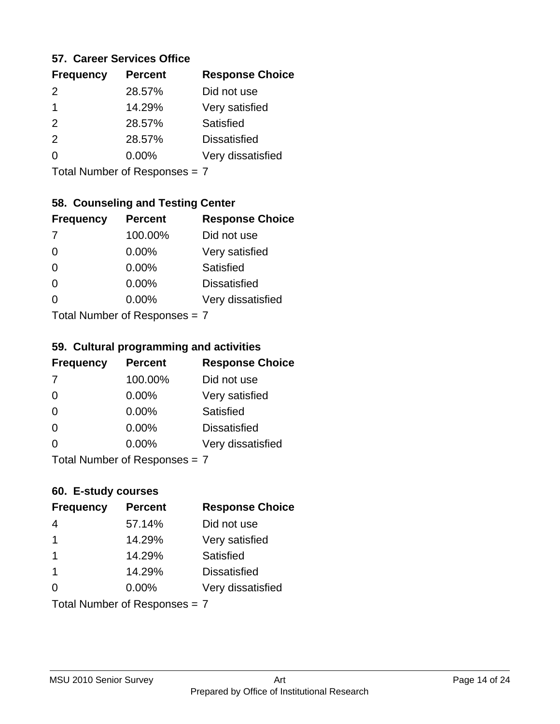#### **57. Career Services Office**

| <b>Frequency</b> | <b>Percent</b> | <b>Response Choice</b> |
|------------------|----------------|------------------------|
| $\mathcal{P}$    | 28.57%         | Did not use            |
|                  | 14.29%         | Very satisfied         |
| 2                | 28.57%         | Satisfied              |
| $\mathcal{P}$    | 28.57%         | <b>Dissatisfied</b>    |
|                  | $0.00\%$       | Very dissatisfied      |
|                  |                |                        |

Total Number of Responses = 7

### **58. Counseling and Testing Center**

| <b>Frequency</b>                | <b>Percent</b> | <b>Response Choice</b> |
|---------------------------------|----------------|------------------------|
| -7                              | 100.00%        | Did not use            |
| $\Omega$                        | 0.00%          | Very satisfied         |
| $\Omega$                        | $0.00\%$       | Satisfied              |
| $\Omega$                        | 0.00%          | <b>Dissatisfied</b>    |
| 0                               | 0.00%          | Very dissatisfied      |
| $Total Number of Doepopoog = 7$ |                |                        |

Total Number of Responses = 7

#### **59. Cultural programming and activities**

| <b>Frequency</b>                | <b>Percent</b> | <b>Response Choice</b> |
|---------------------------------|----------------|------------------------|
| 7                               | 100.00%        | Did not use            |
| $\Omega$                        | $0.00\%$       | Very satisfied         |
| $\Omega$                        | 0.00%          | Satisfied              |
| $\Omega$                        | $0.00\%$       | <b>Dissatisfied</b>    |
| $\Omega$                        | $0.00\%$       | Very dissatisfied      |
| Total Number of Responses $= 7$ |                |                        |

#### **60. E-study courses**

| <b>Frequency</b> | <b>Percent</b>                | <b>Response Choice</b> |
|------------------|-------------------------------|------------------------|
| 4                | 57.14%                        | Did not use            |
| $\mathbf 1$      | 14.29%                        | Very satisfied         |
| $\mathbf 1$      | 14.29%                        | <b>Satisfied</b>       |
| $\overline{1}$   | 14.29%                        | <b>Dissatisfied</b>    |
| $\Omega$         | 0.00%                         | Very dissatisfied      |
|                  | Total Number of Responses = 7 |                        |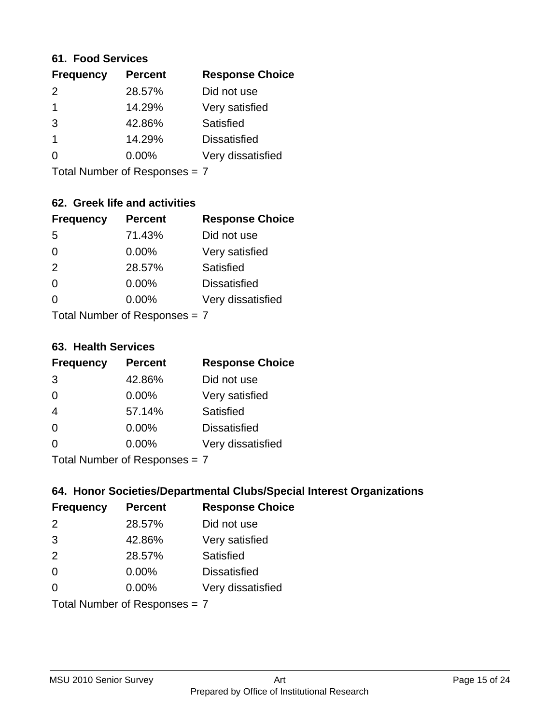#### **61. Food Services**

| <b>Frequency</b> | <b>Percent</b> | <b>Response Choice</b> |
|------------------|----------------|------------------------|
| $\mathcal{P}$    | 28.57%         | Did not use            |
|                  | 14.29%         | Very satisfied         |
| 3                | 42.86%         | Satisfied              |
|                  | 14.29%         | <b>Dissatisfied</b>    |
| O                | $0.00\%$       | Very dissatisfied      |
|                  |                |                        |

Total Number of Responses = 7

### **62. Greek life and activities**

| <b>Frequency</b>              | <b>Percent</b> | <b>Response Choice</b> |
|-------------------------------|----------------|------------------------|
| 5                             | 71.43%         | Did not use            |
| 0                             | 0.00%          | Very satisfied         |
| 2                             | 28.57%         | Satisfied              |
| $\Omega$                      | 0.00%          | <b>Dissatisfied</b>    |
|                               | 0.00%          | Very dissatisfied      |
| Total Number of Responses = 7 |                |                        |

**63. Health Services**

| <b>Frequency</b>            | <b>Percent</b> | <b>Response Choice</b> |
|-----------------------------|----------------|------------------------|
| 3                           | 42.86%         | Did not use            |
| $\Omega$                    | 0.00%          | Very satisfied         |
| $\overline{4}$              | 57.14%         | <b>Satisfied</b>       |
| $\Omega$                    | $0.00\%$       | <b>Dissatisfied</b>    |
| $\Omega$                    | 0.00%          | Very dissatisfied      |
| Total Number of Despanses 7 |                |                        |

Total Number of Responses = 7

### **64. Honor Societies/Departmental Clubs/Special Interest Organizations**

| <b>Frequency</b>              | <b>Percent</b> | <b>Response Choice</b> |
|-------------------------------|----------------|------------------------|
| $\mathcal{P}$                 | 28.57%         | Did not use            |
| 3                             | 42.86%         | Very satisfied         |
| 2                             | 28.57%         | Satisfied              |
| $\Omega$                      | 0.00%          | <b>Dissatisfied</b>    |
| 0                             | 0.00%          | Very dissatisfied      |
| Total Number of Responses = 7 |                |                        |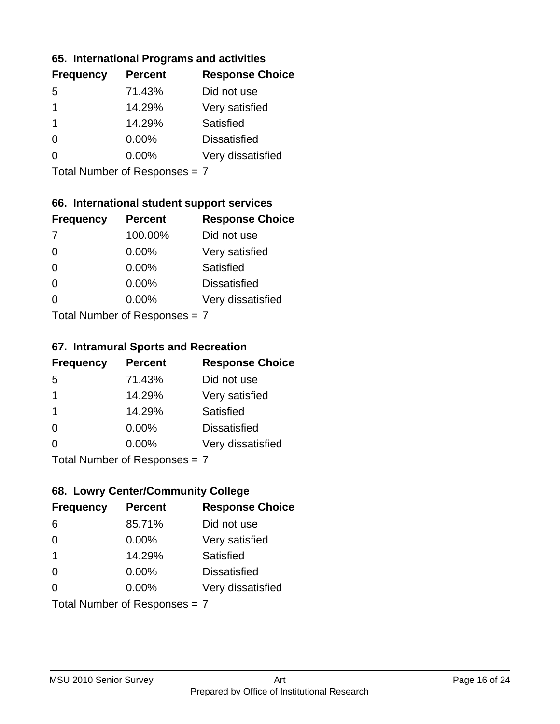# **65. International Programs and activities**

| <b>Frequency</b> | <b>Percent</b> | <b>Response Choice</b> |
|------------------|----------------|------------------------|
| .5               | 71.43%         | Did not use            |
|                  | 14.29%         | Very satisfied         |
|                  | 14.29%         | Satisfied              |
| 0                | $0.00\%$       | <b>Dissatisfied</b>    |
|                  | $0.00\%$       | Very dissatisfied      |
|                  |                |                        |

Total Number of Responses = 7

### **66. International student support services**

| <b>Frequency</b>                 | <b>Percent</b> | <b>Response Choice</b> |
|----------------------------------|----------------|------------------------|
| -7                               | 100.00%        | Did not use            |
| $\Omega$                         | 0.00%          | Very satisfied         |
| $\Omega$                         | $0.00\%$       | Satisfied              |
| $\Omega$                         | 0.00%          | <b>Dissatisfied</b>    |
| ∩                                | 0.00%          | Very dissatisfied      |
| $Total Number of DoEROR 202 = 7$ |                |                        |

Total Number of Responses = 7

#### **67. Intramural Sports and Recreation**

| <b>Frequency</b>              | <b>Percent</b> | <b>Response Choice</b> |
|-------------------------------|----------------|------------------------|
| -5                            | 71.43%         | Did not use            |
| $\mathbf 1$                   | 14.29%         | Very satisfied         |
| $\overline{1}$                | 14.29%         | <b>Satisfied</b>       |
| $\Omega$                      | 0.00%          | <b>Dissatisfied</b>    |
| $\Omega$                      | $0.00\%$       | Very dissatisfied      |
| $Total Number of Denonce = 7$ |                |                        |

Total Number of Responses = 7

### **68. Lowry Center/Community College**

| <b>Frequency</b>              | <b>Percent</b> | <b>Response Choice</b> |
|-------------------------------|----------------|------------------------|
| 6                             | 85.71%         | Did not use            |
| $\Omega$                      | 0.00%          | Very satisfied         |
| $\overline{\mathbf{1}}$       | 14.29%         | Satisfied              |
| $\Omega$                      | 0.00%          | <b>Dissatisfied</b>    |
| $\Omega$                      | $0.00\%$       | Very dissatisfied      |
| Total Number of Responses = 7 |                |                        |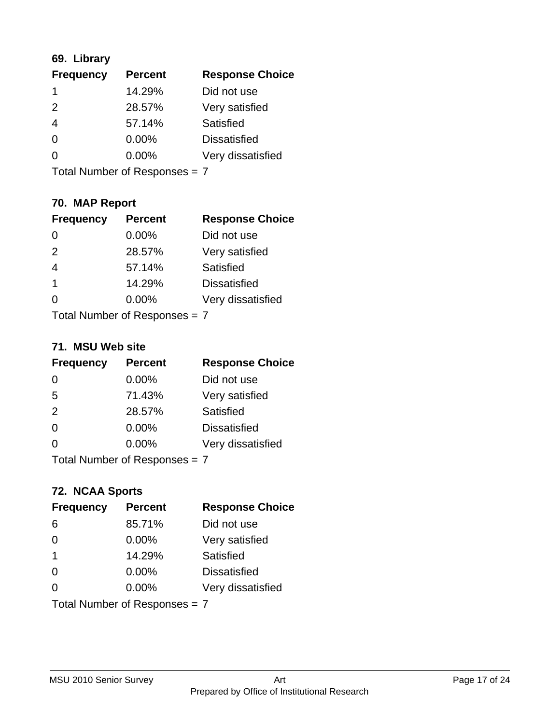### **69. Library**

| <b>Frequency</b> | <b>Percent</b> | <b>Response Choice</b> |
|------------------|----------------|------------------------|
| 1                | 14.29%         | Did not use            |
| 2                | 28.57%         | Very satisfied         |
| 4                | 57.14%         | Satisfied              |
| 0                | 0.00%          | <b>Dissatisfied</b>    |
| $\Omega$         | 0.00%          | Very dissatisfied      |
|                  |                |                        |

Total Number of Responses = 7

### **70. MAP Report**

| <b>Frequency</b>              | <b>Percent</b> | <b>Response Choice</b> |
|-------------------------------|----------------|------------------------|
|                               | 0.00%          | Did not use            |
| 2                             | 28.57%         | Very satisfied         |
| $\overline{4}$                | 57.14%         | Satisfied              |
| 1                             | 14.29%         | <b>Dissatisfied</b>    |
|                               | $0.00\%$       | Very dissatisfied      |
| Total Number of Responses = 7 |                |                        |

#### **71. MSU Web site**

| <b>Frequency</b>                | <b>Percent</b> | <b>Response Choice</b> |
|---------------------------------|----------------|------------------------|
| $\Omega$                        | 0.00%          | Did not use            |
| 5                               | 71.43%         | Very satisfied         |
| 2                               | 28.57%         | Satisfied              |
| $\Omega$                        | 0.00%          | <b>Dissatisfied</b>    |
| ∩                               | 0.00%          | Very dissatisfied      |
| Total Number of Responses = $7$ |                |                        |

### **72. NCAA Sports**

| <b>Frequency</b>              | <b>Percent</b> | <b>Response Choice</b> |
|-------------------------------|----------------|------------------------|
| 6                             | 85.71%         | Did not use            |
| $\Omega$                      | 0.00%          | Very satisfied         |
| -1                            | 14.29%         | Satisfied              |
| $\Omega$                      | 0.00%          | <b>Dissatisfied</b>    |
| ∩                             | $0.00\%$       | Very dissatisfied      |
| Total Number of Responses = 7 |                |                        |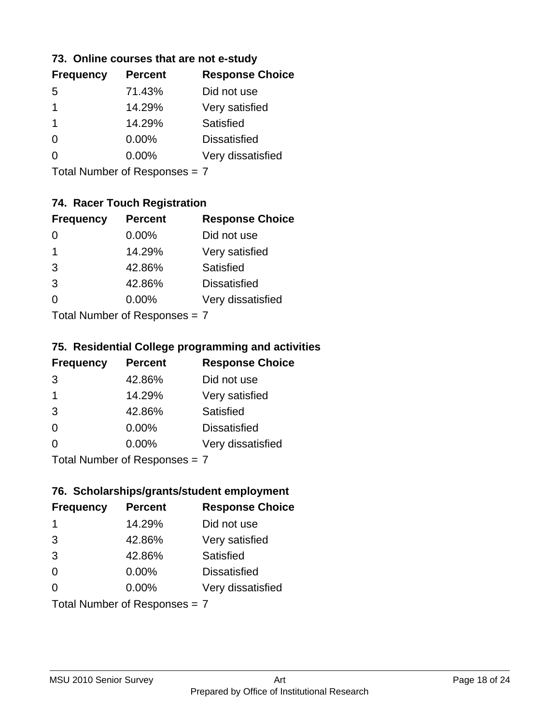### **73. Online courses that are not e-study**

| <b>Frequency</b> | <b>Percent</b> | <b>Response Choice</b> |
|------------------|----------------|------------------------|
| 5                | 71.43%         | Did not use            |
| 1                | 14.29%         | Very satisfied         |
| 1                | 14.29%         | Satisfied              |
|                  | $0.00\%$       | <b>Dissatisfied</b>    |
|                  | $0.00\%$       | Very dissatisfied      |
|                  |                |                        |

Total Number of Responses = 7

### **74. Racer Touch Registration**

| <b>Frequency</b>            | <b>Percent</b> | <b>Response Choice</b> |
|-----------------------------|----------------|------------------------|
| 0                           | 0.00%          | Did not use            |
| 1                           | 14.29%         | Very satisfied         |
| 3                           | 42.86%         | Satisfied              |
| 3                           | 42.86%         | <b>Dissatisfied</b>    |
| ∩                           | 0.00%          | Very dissatisfied      |
| Total Number of Despanses 7 |                |                        |

Total Number of Responses = 7

### **75. Residential College programming and activities**

| <b>Frequency</b>          | <b>Percent</b> | <b>Response Choice</b> |
|---------------------------|----------------|------------------------|
| 3                         | 42.86%         | Did not use            |
| $\overline{\mathbf{1}}$   | 14.29%         | Very satisfied         |
| 3                         | 42.86%         | Satisfied              |
| $\Omega$                  | 0.00%          | <b>Dissatisfied</b>    |
| $\Omega$                  | 0.00%          | Very dissatisfied      |
| Total Number of Desponses |                |                        |

Total Number of Responses = 7

#### **76. Scholarships/grants/student employment**

| <b>Frequency</b> | <b>Percent</b>                | <b>Response Choice</b> |
|------------------|-------------------------------|------------------------|
| -1               | 14.29%                        | Did not use            |
| 3                | 42.86%                        | Very satisfied         |
| 3                | 42.86%                        | Satisfied              |
| $\Omega$         | 0.00%                         | <b>Dissatisfied</b>    |
| $\Omega$         | 0.00%                         | Very dissatisfied      |
|                  | Total Number of Responses = 7 |                        |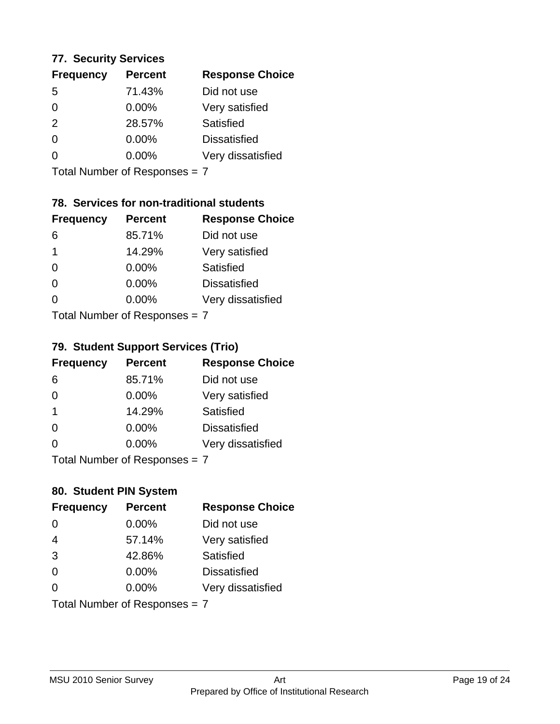# **77. Security Services**

| <b>Frequency</b> | <b>Percent</b> | <b>Response Choice</b> |
|------------------|----------------|------------------------|
| 5                | 71.43%         | Did not use            |
| 0                | 0.00%          | Very satisfied         |
| 2                | 28.57%         | Satisfied              |
| 0                | $0.00\%$       | <b>Dissatisfied</b>    |
| O                | $0.00\%$       | Very dissatisfied      |
|                  |                |                        |

Total Number of Responses = 7

### **78. Services for non-traditional students**

| <b>Frequency</b>              | <b>Percent</b> | <b>Response Choice</b> |
|-------------------------------|----------------|------------------------|
| 6                             | 85.71%         | Did not use            |
| 1                             | 14.29%         | Very satisfied         |
| $\Omega$                      | $0.00\%$       | <b>Satisfied</b>       |
| $\Omega$                      | $0.00\%$       | <b>Dissatisfied</b>    |
| 0                             | 0.00%          | Very dissatisfied      |
| $Total Number of Denonce = 7$ |                |                        |

Total Number of Responses = 7

### **79. Student Support Services (Trio)**

| <b>Frequency</b>              | <b>Percent</b> | <b>Response Choice</b> |
|-------------------------------|----------------|------------------------|
| 6                             | 85.71%         | Did not use            |
| $\Omega$                      | 0.00%          | Very satisfied         |
| -1                            | 14.29%         | Satisfied              |
| $\Omega$                      | $0.00\%$       | <b>Dissatisfied</b>    |
| $\Omega$                      | $0.00\%$       | Very dissatisfied      |
| $Total Number of Denonce - 7$ |                |                        |

I otal Number of Responses = 7

### **80. Student PIN System**

| <b>Frequency</b> | <b>Percent</b>                | <b>Response Choice</b> |
|------------------|-------------------------------|------------------------|
| 0                | 0.00%                         | Did not use            |
| $\overline{4}$   | 57.14%                        | Very satisfied         |
| 3                | 42.86%                        | <b>Satisfied</b>       |
| $\Omega$         | 0.00%                         | <b>Dissatisfied</b>    |
| $\Omega$         | $0.00\%$                      | Very dissatisfied      |
|                  | Total Number of Responses = 7 |                        |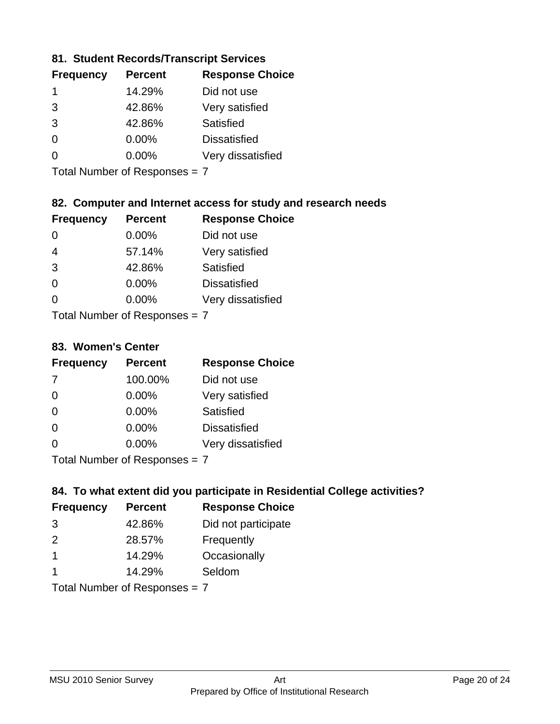### **81. Student Records/Transcript Services**

| <b>Frequency</b> | <b>Percent</b> | <b>Response Choice</b> |
|------------------|----------------|------------------------|
|                  | 14.29%         | Did not use            |
| 3                | 42.86%         | Very satisfied         |
| 3                | 42.86%         | Satisfied              |
| $\Omega$         | 0.00%          | <b>Dissatisfied</b>    |
|                  | $0.00\%$       | Very dissatisfied      |

Total Number of Responses = 7

### **82. Computer and Internet access for study and research needs**

| <b>Frequency</b>           | <b>Percent</b> | <b>Response Choice</b> |
|----------------------------|----------------|------------------------|
|                            | 0.00%          | Did not use            |
| $\overline{4}$             | 57.14%         | Very satisfied         |
| 3                          | 42.86%         | <b>Satisfied</b>       |
| $\Omega$                   | 0.00%          | <b>Dissatisfied</b>    |
| 0                          | 0.00%          | Very dissatisfied      |
| Tatal Number of Desperance |                |                        |

Total Number of Responses = 7

#### **83. Women's Center**

| <b>Frequency</b>          | <b>Percent</b> | <b>Response Choice</b> |
|---------------------------|----------------|------------------------|
| -7                        | 100.00%        | Did not use            |
| $\Omega$                  | $0.00\%$       | Very satisfied         |
| $\Omega$                  | $0.00\%$       | <b>Satisfied</b>       |
| $\Omega$                  | $0.00\%$       | <b>Dissatisfied</b>    |
| ∩                         | 0.00%          | Very dissatisfied      |
| Total Number of Desperace |                |                        |

Total Number of Responses = 7

### **84. To what extent did you participate in Residential College activities?**

| <b>Frequency</b> | <b>Percent</b>                 | <b>Response Choice</b> |  |
|------------------|--------------------------------|------------------------|--|
| 3                | 42.86%                         | Did not participate    |  |
| $\mathcal{P}$    | 28.57%                         | Frequently             |  |
|                  | 14.29%                         | Occasionally           |  |
|                  | 14.29%                         | Seldom                 |  |
|                  | $Total Number of Denonone = 7$ |                        |  |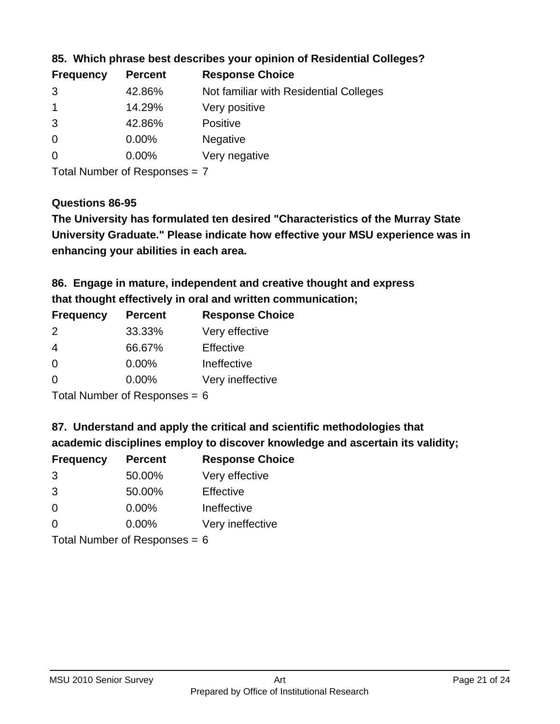| <b>Percent</b> | <b>Response Choice</b>                 |
|----------------|----------------------------------------|
| 42.86%         | Not familiar with Residential Colleges |
| 14.29%         | Very positive                          |
| 42.86%         | <b>Positive</b>                        |
| 0.00%          | <b>Negative</b>                        |
| $0.00\%$       | Very negative                          |
|                |                                        |

**85. Which phrase best describes your opinion of Residential Colleges?**

Total Number of Responses = 7

#### **Questions 86-95**

**University Graduate." Please indicate how effective your MSU experience was in The University has formulated ten desired "Characteristics of the Murray State enhancing your abilities in each area.**

**86. Engage in mature, independent and creative thought and express that thought effectively in oral and written communication;**

| <b>Frequency</b> | <b>Percent</b> | <b>Response Choice</b> |
|------------------|----------------|------------------------|
| $\mathcal{P}$    | 33.33%         | Very effective         |
| 4                | 66.67%         | Effective              |
| $\Omega$         | 0.00%          | Ineffective            |
| ∩                | $0.00\%$       | Very ineffective       |

Total Number of Responses = 6

**87. Understand and apply the critical and scientific methodologies that** 

**academic disciplines employ to discover knowledge and ascertain its validity;**

| <b>Frequency</b> | <b>Percent</b> | <b>Response Choice</b> |
|------------------|----------------|------------------------|
| 3                | 50.00%         | Very effective         |
| 3                | 50.00%         | Effective              |
| $\Omega$         | 0.00%          | Ineffective            |
| $\Omega$         | 0.00%          | Very ineffective       |
|                  |                |                        |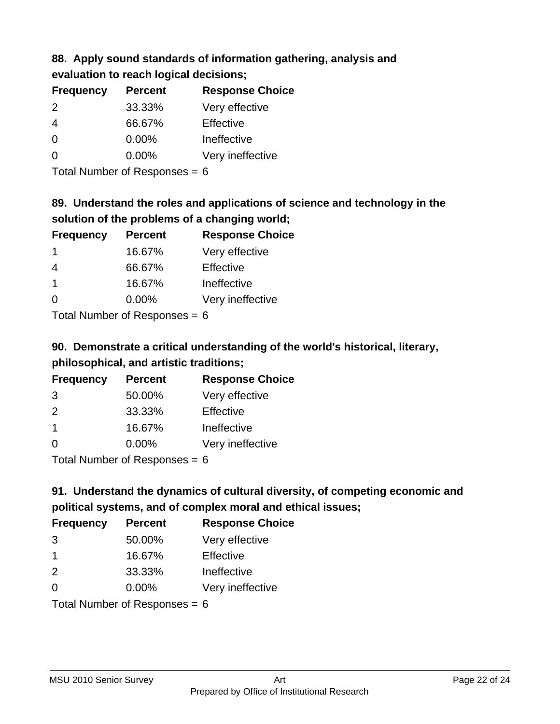# **88. Apply sound standards of information gathering, analysis and evaluation to reach logical decisions;**

| <b>Frequency</b> | <b>Percent</b> | <b>Response Choice</b> |
|------------------|----------------|------------------------|
| 2                | 33.33%         | Very effective         |
| $\overline{4}$   | 66.67%         | Effective              |
| $\Omega$         | 0.00%          | Ineffective            |
| $\Omega$         | 0.00%          | Very ineffective       |
|                  |                |                        |

Total Number of Responses = 6

# **89. Understand the roles and applications of science and technology in the solution of the problems of a changing world;**

| <b>Frequency</b> | <b>Percent</b>                                                                                                 | <b>Response Choice</b> |
|------------------|----------------------------------------------------------------------------------------------------------------|------------------------|
| -1               | 16.67%                                                                                                         | Very effective         |
| 4                | 66.67%                                                                                                         | Effective              |
| -1               | 16.67%                                                                                                         | Ineffective            |
| $\Omega$         | 0.00%                                                                                                          | Very ineffective       |
|                  | The INDIAN Contract Contract in the Contract of Contract of Contract of Contract of Contract of Contract of Co |                        |

Total Number of Responses = 6

# **90. Demonstrate a critical understanding of the world's historical, literary, philosophical, and artistic traditions;**

| <b>Frequency</b> | <b>Percent</b> | <b>Response Choice</b> |
|------------------|----------------|------------------------|
| 3                | 50.00%         | Very effective         |
| $\mathcal{P}$    | 33.33%         | Effective              |
| $\overline{1}$   | 16.67%         | Ineffective            |
| $\Omega$         | 0.00%          | Very ineffective       |
|                  |                |                        |

Total Number of Responses = 6

# **91. Understand the dynamics of cultural diversity, of competing economic and political systems, and of complex moral and ethical issues;**

| <b>Frequency</b> | <b>Percent</b>                  | <b>Response Choice</b> |
|------------------|---------------------------------|------------------------|
| 3                | 50.00%                          | Very effective         |
| $\mathbf 1$      | 16.67%                          | Effective              |
| 2                | 33.33%                          | Ineffective            |
| $\Omega$         | 0.00%                           | Very ineffective       |
|                  | Total Number of Responses = $6$ |                        |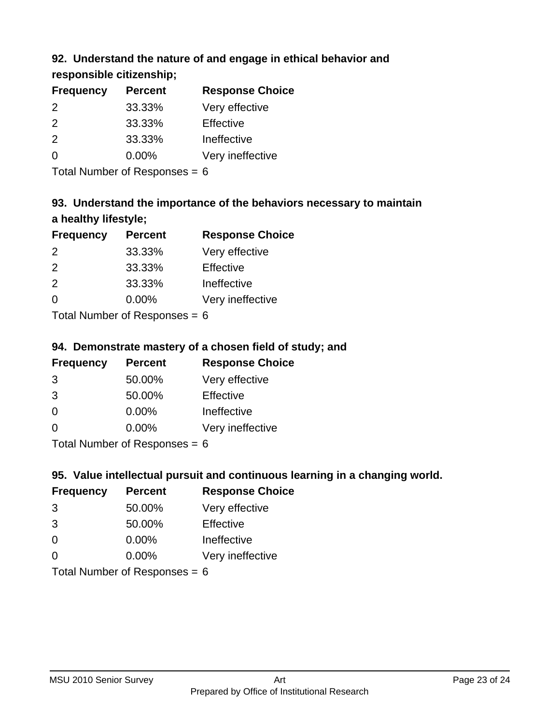### **92. Understand the nature of and engage in ethical behavior and**

**responsible citizenship;**

| <b>Percent</b> | <b>Response Choice</b> |
|----------------|------------------------|
| 33.33%         | Very effective         |
| 33.33%         | Effective              |
| 33.33%         | Ineffective            |
| $0.00\%$       | Very ineffective       |
|                |                        |

Total Number of Responses = 6

# **93. Understand the importance of the behaviors necessary to maintain a healthy lifestyle;**

| <b>Frequency</b> | <b>Percent</b>               | <b>Response Choice</b> |
|------------------|------------------------------|------------------------|
| 2                | 33.33%                       | Very effective         |
| $\mathcal{P}$    | 33.33%                       | Effective              |
| 2                | 33.33%                       | Ineffective            |
| $\Omega$         | 0.00%                        | Very ineffective       |
|                  | The HI all and December 2014 |                        |

Total Number of Responses = 6

### **94. Demonstrate mastery of a chosen field of study; and**

| <b>Frequency</b> | <b>Percent</b> | <b>Response Choice</b> |
|------------------|----------------|------------------------|
| 3                | 50.00%         | Very effective         |
| 3                | 50.00%         | Effective              |
| $\Omega$         | $0.00\%$       | Ineffective            |
| ∩                | $0.00\%$       | Very ineffective       |
|                  |                |                        |

Total Number of Responses = 6

### **95. Value intellectual pursuit and continuous learning in a changing world.**

| <b>Frequency</b> | <b>Percent</b>                                                                                                                                                                                                                 | <b>Response Choice</b> |
|------------------|--------------------------------------------------------------------------------------------------------------------------------------------------------------------------------------------------------------------------------|------------------------|
| 3                | 50.00%                                                                                                                                                                                                                         | Very effective         |
| 3                | 50.00%                                                                                                                                                                                                                         | Effective              |
| $\Omega$         | 0.00%                                                                                                                                                                                                                          | Ineffective            |
| $\Omega$         | 0.00%                                                                                                                                                                                                                          | Very ineffective       |
|                  | The INDIAN Contract Contract in the Contract of The Contract of The Contract of The Contract of The Contract of The Contract of The Contract of The Contract of The Contract of The Contract of The Contract of The Contract o |                        |